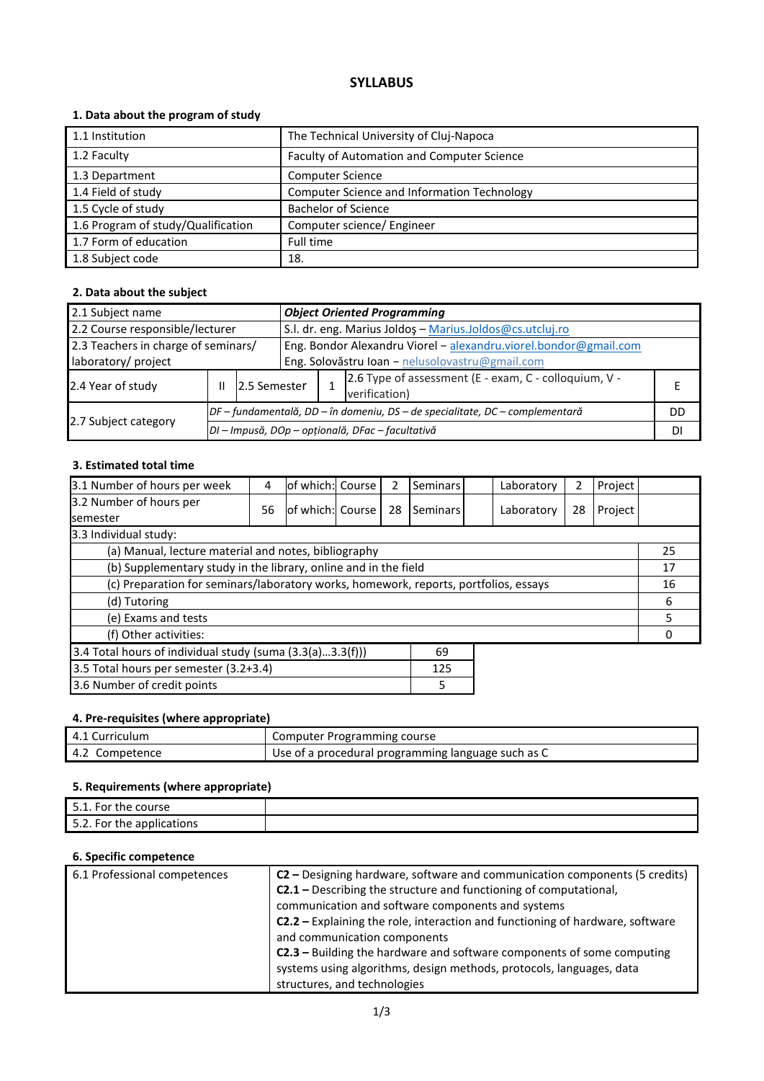# **SYLLABUS**

## **1. Data about the program of study**

| 1.1 Institution                    | The Technical University of Cluj-Napoca     |
|------------------------------------|---------------------------------------------|
|                                    |                                             |
| 1.2 Faculty                        | Faculty of Automation and Computer Science  |
| 1.3 Department                     | <b>Computer Science</b>                     |
| 1.4 Field of study                 | Computer Science and Information Technology |
| 1.5 Cycle of study                 | <b>Bachelor of Science</b>                  |
| 1.6 Program of study/Qualification | Computer science/ Engineer                  |
| 1.7 Form of education              | Full time                                   |
| 1.8 Subject code                   | 18.                                         |

## **2. Data about the subject**

| <b>Object Oriented Programming</b><br>2.1 Subject name     |   |                                                                              |                                                                                                                     |                                                                        |  |    |
|------------------------------------------------------------|---|------------------------------------------------------------------------------|---------------------------------------------------------------------------------------------------------------------|------------------------------------------------------------------------|--|----|
| 2.2 Course responsible/lecturer                            |   |                                                                              | S.l. dr. eng. Marius Joldoş - Marius.Joldos@cs.utcluj.ro                                                            |                                                                        |  |    |
| 2.3 Teachers in charge of seminars/<br>laboratory/ project |   |                                                                              | Eng. Bondor Alexandru Viorel - alexandru.viorel.bondor@gmail.com<br>Eng. Solovăstru Ioan - nelusolovastru@gmail.com |                                                                        |  |    |
| 2.4 Year of study                                          | Ш | 12.5 Semester                                                                |                                                                                                                     | 2.6 Type of assessment (E - exam, C - colloquium, V -<br>verification) |  |    |
|                                                            |   | DF – fundamentală, DD – în domeniu, DS – de specialitate, DC – complementară |                                                                                                                     |                                                                        |  | DD |
| 2.7 Subject category                                       |   | DI - Impusă, DOp - opțională, DFac - facultativă                             |                                                                                                                     |                                                                        |  |    |

#### **3. Estimated total time**

| 3.1 Number of hours per week                                                         | 4  | lof which: Course |  | 2  | <b>Seminars</b> |    | Laboratory | 2  | Project |    |
|--------------------------------------------------------------------------------------|----|-------------------|--|----|-----------------|----|------------|----|---------|----|
| 3.2 Number of hours per<br><b>semester</b>                                           | 56 | of which: Course  |  | 28 | Seminars        |    | Laboratory | 28 | Project |    |
| 3.3 Individual study:                                                                |    |                   |  |    |                 |    |            |    |         |    |
| (a) Manual, lecture material and notes, bibliography                                 |    |                   |  |    |                 |    |            |    |         | 25 |
| (b) Supplementary study in the library, online and in the field                      |    |                   |  |    |                 |    | 17         |    |         |    |
| (c) Preparation for seminars/laboratory works, homework, reports, portfolios, essays |    |                   |  |    |                 |    | 16         |    |         |    |
| (d) Tutoring                                                                         |    |                   |  |    |                 | 6  |            |    |         |    |
| (e) Exams and tests                                                                  |    |                   |  |    |                 | 5. |            |    |         |    |
| (f) Other activities:                                                                |    |                   |  |    |                 |    |            |    |         |    |
| 3.4 Total hours of individual study (suma (3.3(a)3.3(f)))<br>69                      |    |                   |  |    |                 |    |            |    |         |    |
| 3.5 Total hours per semester (3.2+3.4)<br>125                                        |    |                   |  |    |                 |    |            |    |         |    |
| 3.6 Number of credit points<br>5                                                     |    |                   |  |    |                 |    |            |    |         |    |

#### **4. Pre-requisites (where appropriate)**

| 4.1 Curriculum | Computer Programming course                        |
|----------------|----------------------------------------------------|
| 4.2 Competence | Use of a procedural programming language such as C |

## **5. Requirements (where appropriate)**

| 5.1. For the course             |  |
|---------------------------------|--|
| につ<br>5.2. For the applications |  |

## **6. Specific competence**

| 6.1 Professional competences | C2 – Designing hardware, software and communication components (5 credits)    |
|------------------------------|-------------------------------------------------------------------------------|
|                              | <b>C2.1</b> – Describing the structure and functioning of computational,      |
|                              | communication and software components and systems                             |
|                              | C2.2 - Explaining the role, interaction and functioning of hardware, software |
|                              | and communication components                                                  |
|                              | <b>C2.3</b> - Building the hardware and software components of some computing |
|                              | systems using algorithms, design methods, protocols, languages, data          |
|                              | structures, and technologies                                                  |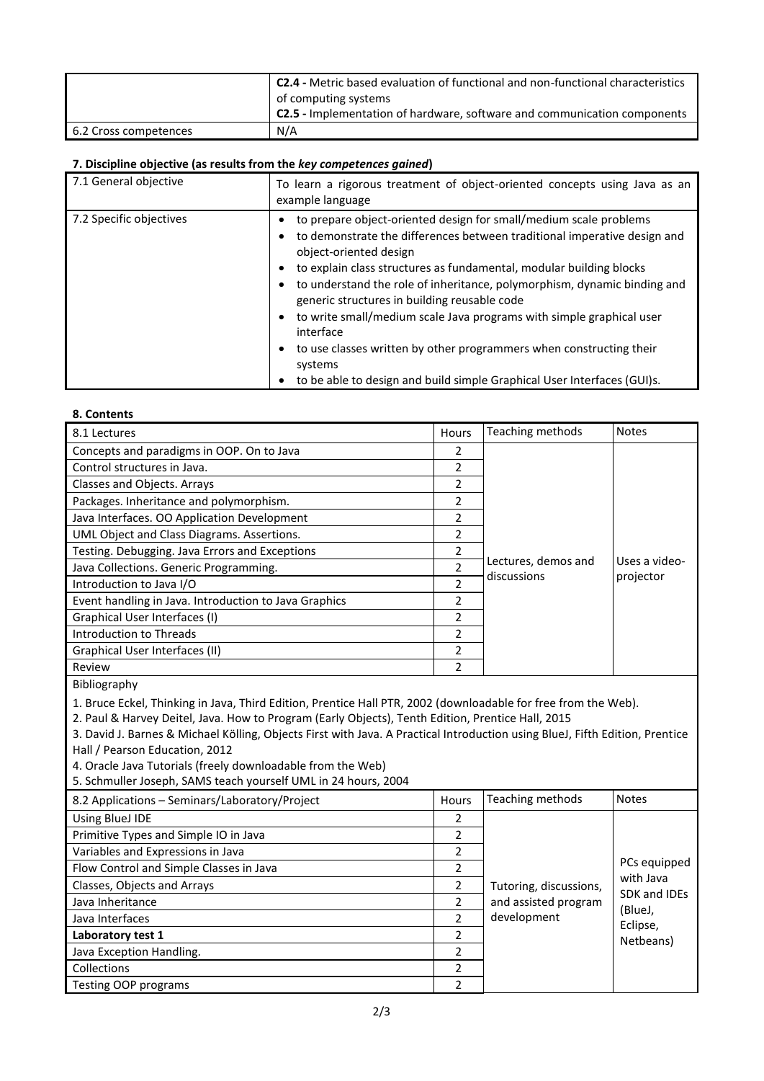|                       | <sup>1</sup> C2.4 - Metric based evaluation of functional and non-functional characteristics |
|-----------------------|----------------------------------------------------------------------------------------------|
|                       | of computing systems                                                                         |
|                       | <b>C2.5</b> - Implementation of hardware, software and communication components              |
| 6.2 Cross competences | N/A                                                                                          |

#### **7. Discipline objective (as results from the** *key competences gained***)**

| 7.1 General objective   | To learn a rigorous treatment of object-oriented concepts using Java as an<br>example language                                                                                                                                                                                                                                                                                                                                                                                                                                                                                                                                                   |
|-------------------------|--------------------------------------------------------------------------------------------------------------------------------------------------------------------------------------------------------------------------------------------------------------------------------------------------------------------------------------------------------------------------------------------------------------------------------------------------------------------------------------------------------------------------------------------------------------------------------------------------------------------------------------------------|
| 7.2 Specific objectives | to prepare object-oriented design for small/medium scale problems<br>to demonstrate the differences between traditional imperative design and<br>object-oriented design<br>to explain class structures as fundamental, modular building blocks<br>٠<br>to understand the role of inheritance, polymorphism, dynamic binding and<br>generic structures in building reusable code<br>to write small/medium scale Java programs with simple graphical user<br>٠<br>interface<br>to use classes written by other programmers when constructing their<br>٠<br>systems<br>to be able to design and build simple Graphical User Interfaces (GUI)s.<br>٠ |

#### **8. Contents**

| 8.1 Lectures                                                                                                   | Hours                    | Teaching methods    | <b>Notes</b>  |  |  |  |
|----------------------------------------------------------------------------------------------------------------|--------------------------|---------------------|---------------|--|--|--|
| Concepts and paradigms in OOP. On to Java                                                                      | 2                        |                     |               |  |  |  |
| Control structures in Java.                                                                                    | 2                        |                     |               |  |  |  |
| Classes and Objects. Arrays                                                                                    | 2                        |                     |               |  |  |  |
| Packages. Inheritance and polymorphism.                                                                        | 2                        |                     |               |  |  |  |
| Java Interfaces. OO Application Development                                                                    | 2                        |                     |               |  |  |  |
| UML Object and Class Diagrams. Assertions.                                                                     | 2                        |                     |               |  |  |  |
| Testing. Debugging. Java Errors and Exceptions                                                                 | 2                        |                     |               |  |  |  |
| Java Collections. Generic Programming.                                                                         | $\overline{\phantom{a}}$ | Lectures, demos and | Uses a video- |  |  |  |
| Introduction to Java I/O                                                                                       | 2                        | discussions         | projector     |  |  |  |
| Event handling in Java. Introduction to Java Graphics                                                          | $\overline{\phantom{a}}$ |                     |               |  |  |  |
| Graphical User Interfaces (I)                                                                                  | $\overline{\phantom{a}}$ |                     |               |  |  |  |
| Introduction to Threads                                                                                        | 2                        |                     |               |  |  |  |
| Graphical User Interfaces (II)                                                                                 | 2                        |                     |               |  |  |  |
| Review                                                                                                         | $\overline{\phantom{a}}$ |                     |               |  |  |  |
| Bibliography                                                                                                   |                          |                     |               |  |  |  |
| 1. Bruce Eckel, Thinking in Java, Third Edition, Prentice Hall PTR, 2002 (downloadable for free from the Web). |                          |                     |               |  |  |  |
| 2. Daul 8, Hammy Doitel, Java, Houtto Drogram (Early Objects), Tonth Edition, Droptico Hall, 2015              |                          |                     |               |  |  |  |

2. Paul & Harvey Deitel, Java. How to Program (Early Objects), Tenth Edition, Prentice Hall, 2015

3. David J. Barnes & Michael Kölling, Objects First with Java. A Practical Introduction using BlueJ, Fifth Edition, Prentice Hall / Pearson Education, 2012

4. Oracle Java Tutorials (freely downloadable from the Web)

5. Schmuller Joseph, SAMS teach yourself UML in 24 hours, 2004

| 8.2 Applications - Seminars/Laboratory/Project | Hours          | Teaching methods       | <b>Notes</b>              |  |  |
|------------------------------------------------|----------------|------------------------|---------------------------|--|--|
| Using BlueJ IDE                                | 2              |                        |                           |  |  |
| Primitive Types and Simple IO in Java          | 2              |                        |                           |  |  |
| Variables and Expressions in Java              | 2              |                        |                           |  |  |
| Flow Control and Simple Classes in Java        | 2              |                        | PCs equipped              |  |  |
| Classes, Objects and Arrays                    | 2              | Tutoring, discussions, | with Java<br>SDK and IDEs |  |  |
| Java Inheritance                               | $\mathcal{P}$  | and assisted program   | (BlueJ,                   |  |  |
| Java Interfaces                                | $\mathfrak{p}$ | development            | Eclipse,                  |  |  |
| Laboratory test 1                              | $\mathfrak{p}$ |                        | Netbeans)                 |  |  |
| Java Exception Handling.                       | 2              |                        |                           |  |  |
| Collections                                    | 2              |                        |                           |  |  |
| Testing OOP programs                           | າ              |                        |                           |  |  |